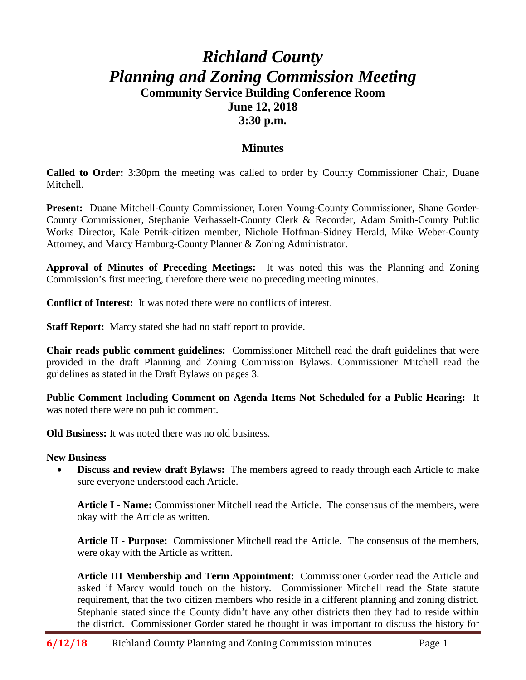## *Richland County Planning and Zoning Commission Meeting* **Community Service Building Conference Room June 12, 2018 3:30 p.m.**

## **Minutes**

**Called to Order:** 3:30pm the meeting was called to order by County Commissioner Chair, Duane Mitchell.

**Present:** Duane Mitchell-County Commissioner, Loren Young-County Commissioner, Shane Gorder-County Commissioner, Stephanie Verhasselt-County Clerk & Recorder, Adam Smith-County Public Works Director, Kale Petrik-citizen member, Nichole Hoffman-Sidney Herald, Mike Weber-County Attorney, and Marcy Hamburg-County Planner & Zoning Administrator.

**Approval of Minutes of Preceding Meetings:** It was noted this was the Planning and Zoning Commission's first meeting, therefore there were no preceding meeting minutes.

**Conflict of Interest:** It was noted there were no conflicts of interest.

**Staff Report:** Marcy stated she had no staff report to provide.

**Chair reads public comment guidelines:** Commissioner Mitchell read the draft guidelines that were provided in the draft Planning and Zoning Commission Bylaws. Commissioner Mitchell read the guidelines as stated in the Draft Bylaws on pages 3.

**Public Comment Including Comment on Agenda Items Not Scheduled for a Public Hearing:** It was noted there were no public comment.

**Old Business:** It was noted there was no old business.

## **New Business**

• **Discuss and review draft Bylaws:** The members agreed to ready through each Article to make sure everyone understood each Article.

**Article I - Name:** Commissioner Mitchell read the Article. The consensus of the members, were okay with the Article as written.

**Article II - Purpose:** Commissioner Mitchell read the Article.The consensus of the members, were okay with the Article as written.

**Article III Membership and Term Appointment:** Commissioner Gorder read the Article and asked if Marcy would touch on the history. Commissioner Mitchell read the State statute requirement, that the two citizen members who reside in a different planning and zoning district. Stephanie stated since the County didn't have any other districts then they had to reside within the district. Commissioner Gorder stated he thought it was important to discuss the history for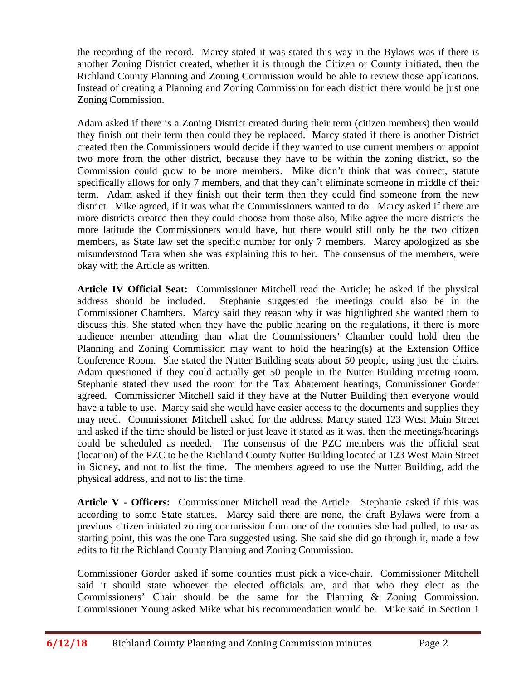the recording of the record. Marcy stated it was stated this way in the Bylaws was if there is another Zoning District created, whether it is through the Citizen or County initiated, then the Richland County Planning and Zoning Commission would be able to review those applications. Instead of creating a Planning and Zoning Commission for each district there would be just one Zoning Commission.

Adam asked if there is a Zoning District created during their term (citizen members) then would they finish out their term then could they be replaced. Marcy stated if there is another District created then the Commissioners would decide if they wanted to use current members or appoint two more from the other district, because they have to be within the zoning district, so the Commission could grow to be more members. Mike didn't think that was correct, statute specifically allows for only 7 members, and that they can't eliminate someone in middle of their term. Adam asked if they finish out their term then they could find someone from the new district. Mike agreed, if it was what the Commissioners wanted to do. Marcy asked if there are more districts created then they could choose from those also, Mike agree the more districts the more latitude the Commissioners would have, but there would still only be the two citizen members, as State law set the specific number for only 7 members. Marcy apologized as she misunderstood Tara when she was explaining this to her. The consensus of the members, were okay with the Article as written.

**Article IV Official Seat:** Commissioner Mitchell read the Article; he asked if the physical address should be included. Stephanie suggested the meetings could also be in the Commissioner Chambers. Marcy said they reason why it was highlighted she wanted them to discuss this. She stated when they have the public hearing on the regulations, if there is more audience member attending than what the Commissioners' Chamber could hold then the Planning and Zoning Commission may want to hold the hearing(s) at the Extension Office Conference Room. She stated the Nutter Building seats about 50 people, using just the chairs. Adam questioned if they could actually get 50 people in the Nutter Building meeting room. Stephanie stated they used the room for the Tax Abatement hearings, Commissioner Gorder agreed. Commissioner Mitchell said if they have at the Nutter Building then everyone would have a table to use. Marcy said she would have easier access to the documents and supplies they may need. Commissioner Mitchell asked for the address. Marcy stated 123 West Main Street and asked if the time should be listed or just leave it stated as it was, then the meetings/hearings could be scheduled as needed. The consensus of the PZC members was the official seat (location) of the PZC to be the Richland County Nutter Building located at 123 West Main Street in Sidney, and not to list the time. The members agreed to use the Nutter Building, add the physical address, and not to list the time.

**Article V - Officers:** Commissioner Mitchell read the Article. Stephanie asked if this was according to some State statues. Marcy said there are none, the draft Bylaws were from a previous citizen initiated zoning commission from one of the counties she had pulled, to use as starting point, this was the one Tara suggested using. She said she did go through it, made a few edits to fit the Richland County Planning and Zoning Commission.

Commissioner Gorder asked if some counties must pick a vice-chair. Commissioner Mitchell said it should state whoever the elected officials are, and that who they elect as the Commissioners' Chair should be the same for the Planning & Zoning Commission. Commissioner Young asked Mike what his recommendation would be. Mike said in Section 1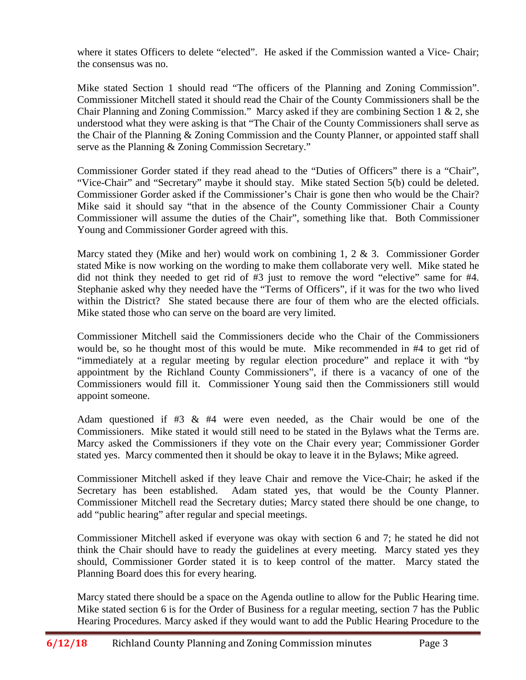where it states Officers to delete "elected". He asked if the Commission wanted a Vice- Chair; the consensus was no.

Mike stated Section 1 should read "The officers of the Planning and Zoning Commission". Commissioner Mitchell stated it should read the Chair of the County Commissioners shall be the Chair Planning and Zoning Commission." Marcy asked if they are combining Section 1 & 2, she understood what they were asking is that "The Chair of the County Commissioners shall serve as the Chair of the Planning & Zoning Commission and the County Planner, or appointed staff shall serve as the Planning & Zoning Commission Secretary."

Commissioner Gorder stated if they read ahead to the "Duties of Officers" there is a "Chair", "Vice-Chair" and "Secretary" maybe it should stay. Mike stated Section 5(b) could be deleted. Commissioner Gorder asked if the Commissioner's Chair is gone then who would be the Chair? Mike said it should say "that in the absence of the County Commissioner Chair a County Commissioner will assume the duties of the Chair", something like that. Both Commissioner Young and Commissioner Gorder agreed with this.

Marcy stated they (Mike and her) would work on combining  $1, 2 \& 3$ . Commissioner Gorder stated Mike is now working on the wording to make them collaborate very well. Mike stated he did not think they needed to get rid of #3 just to remove the word "elective" same for #4. Stephanie asked why they needed have the "Terms of Officers", if it was for the two who lived within the District? She stated because there are four of them who are the elected officials. Mike stated those who can serve on the board are very limited.

Commissioner Mitchell said the Commissioners decide who the Chair of the Commissioners would be, so he thought most of this would be mute. Mike recommended in #4 to get rid of "immediately at a regular meeting by regular election procedure" and replace it with "by appointment by the Richland County Commissioners", if there is a vacancy of one of the Commissioners would fill it. Commissioner Young said then the Commissioners still would appoint someone.

Adam questioned if #3 & #4 were even needed, as the Chair would be one of the Commissioners. Mike stated it would still need to be stated in the Bylaws what the Terms are. Marcy asked the Commissioners if they vote on the Chair every year; Commissioner Gorder stated yes. Marcy commented then it should be okay to leave it in the Bylaws; Mike agreed.

Commissioner Mitchell asked if they leave Chair and remove the Vice-Chair; he asked if the Secretary has been established. Adam stated yes, that would be the County Planner. Commissioner Mitchell read the Secretary duties; Marcy stated there should be one change, to add "public hearing" after regular and special meetings.

Commissioner Mitchell asked if everyone was okay with section 6 and 7; he stated he did not think the Chair should have to ready the guidelines at every meeting. Marcy stated yes they should, Commissioner Gorder stated it is to keep control of the matter. Marcy stated the Planning Board does this for every hearing.

Marcy stated there should be a space on the Agenda outline to allow for the Public Hearing time. Mike stated section 6 is for the Order of Business for a regular meeting, section 7 has the Public Hearing Procedures. Marcy asked if they would want to add the Public Hearing Procedure to the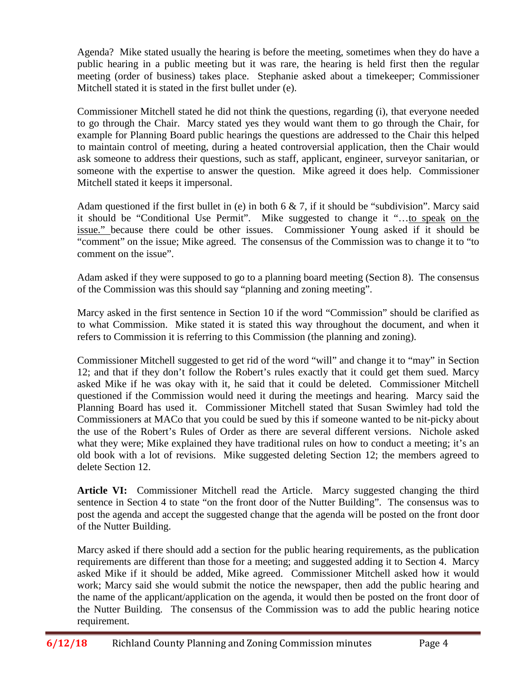Agenda? Mike stated usually the hearing is before the meeting, sometimes when they do have a public hearing in a public meeting but it was rare, the hearing is held first then the regular meeting (order of business) takes place. Stephanie asked about a timekeeper; Commissioner Mitchell stated it is stated in the first bullet under (e).

Commissioner Mitchell stated he did not think the questions, regarding (i), that everyone needed to go through the Chair. Marcy stated yes they would want them to go through the Chair, for example for Planning Board public hearings the questions are addressed to the Chair this helped to maintain control of meeting, during a heated controversial application, then the Chair would ask someone to address their questions, such as staff, applicant, engineer, surveyor sanitarian, or someone with the expertise to answer the question. Mike agreed it does help. Commissioner Mitchell stated it keeps it impersonal.

Adam questioned if the first bullet in (e) in both  $6 \& 7$ , if it should be "subdivision". Marcy said it should be "Conditional Use Permit". Mike suggested to change it "…to speak on the issue." because there could be other issues. Commissioner Young asked if it should be "comment" on the issue; Mike agreed. The consensus of the Commission was to change it to "to comment on the issue".

Adam asked if they were supposed to go to a planning board meeting (Section 8). The consensus of the Commission was this should say "planning and zoning meeting".

Marcy asked in the first sentence in Section 10 if the word "Commission" should be clarified as to what Commission. Mike stated it is stated this way throughout the document, and when it refers to Commission it is referring to this Commission (the planning and zoning).

Commissioner Mitchell suggested to get rid of the word "will" and change it to "may" in Section 12; and that if they don't follow the Robert's rules exactly that it could get them sued. Marcy asked Mike if he was okay with it, he said that it could be deleted. Commissioner Mitchell questioned if the Commission would need it during the meetings and hearing. Marcy said the Planning Board has used it. Commissioner Mitchell stated that Susan Swimley had told the Commissioners at MACo that you could be sued by this if someone wanted to be nit-picky about the use of the Robert's Rules of Order as there are several different versions. Nichole asked what they were; Mike explained they have traditional rules on how to conduct a meeting; it's an old book with a lot of revisions. Mike suggested deleting Section 12; the members agreed to delete Section 12.

**Article VI:** Commissioner Mitchell read the Article. Marcy suggested changing the third sentence in Section 4 to state "on the front door of the Nutter Building". The consensus was to post the agenda and accept the suggested change that the agenda will be posted on the front door of the Nutter Building.

Marcy asked if there should add a section for the public hearing requirements, as the publication requirements are different than those for a meeting; and suggested adding it to Section 4. Marcy asked Mike if it should be added, Mike agreed. Commissioner Mitchell asked how it would work; Marcy said she would submit the notice the newspaper, then add the public hearing and the name of the applicant/application on the agenda, it would then be posted on the front door of the Nutter Building. The consensus of the Commission was to add the public hearing notice requirement.